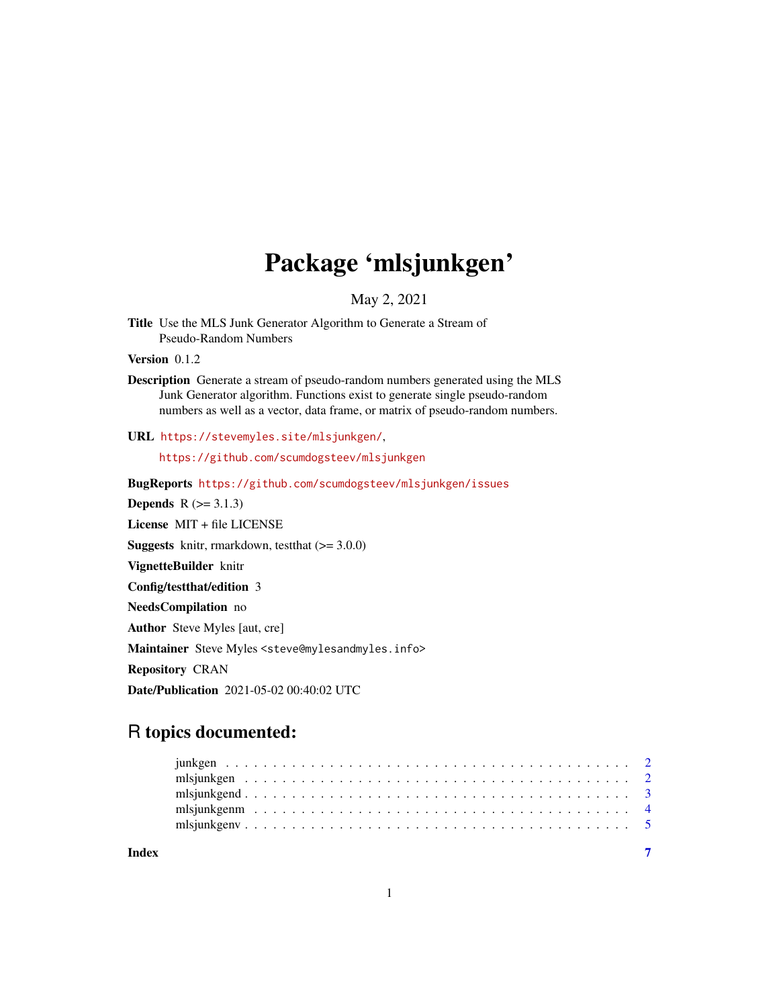## Package 'mlsjunkgen'

May 2, 2021

Title Use the MLS Junk Generator Algorithm to Generate a Stream of Pseudo-Random Numbers

Version 0.1.2

Description Generate a stream of pseudo-random numbers generated using the MLS Junk Generator algorithm. Functions exist to generate single pseudo-random numbers as well as a vector, data frame, or matrix of pseudo-random numbers.

URL <https://stevemyles.site/mlsjunkgen/>,

<https://github.com/scumdogsteev/mlsjunkgen>

BugReports <https://github.com/scumdogsteev/mlsjunkgen/issues>

**Depends**  $R$  ( $>= 3.1.3$ )

License MIT + file LICENSE

**Suggests** knitr, rmarkdown, test that  $(>= 3.0.0)$ 

VignetteBuilder knitr

Config/testthat/edition 3

NeedsCompilation no

Author Steve Myles [aut, cre]

Maintainer Steve Myles <steve@mylesandmyles.info>

Repository CRAN

Date/Publication 2021-05-02 00:40:02 UTC

### R topics documented:

| Index |  |  |  |  |  |  |  |  |  |  |  |  |  |  |  |  |  |  |  |
|-------|--|--|--|--|--|--|--|--|--|--|--|--|--|--|--|--|--|--|--|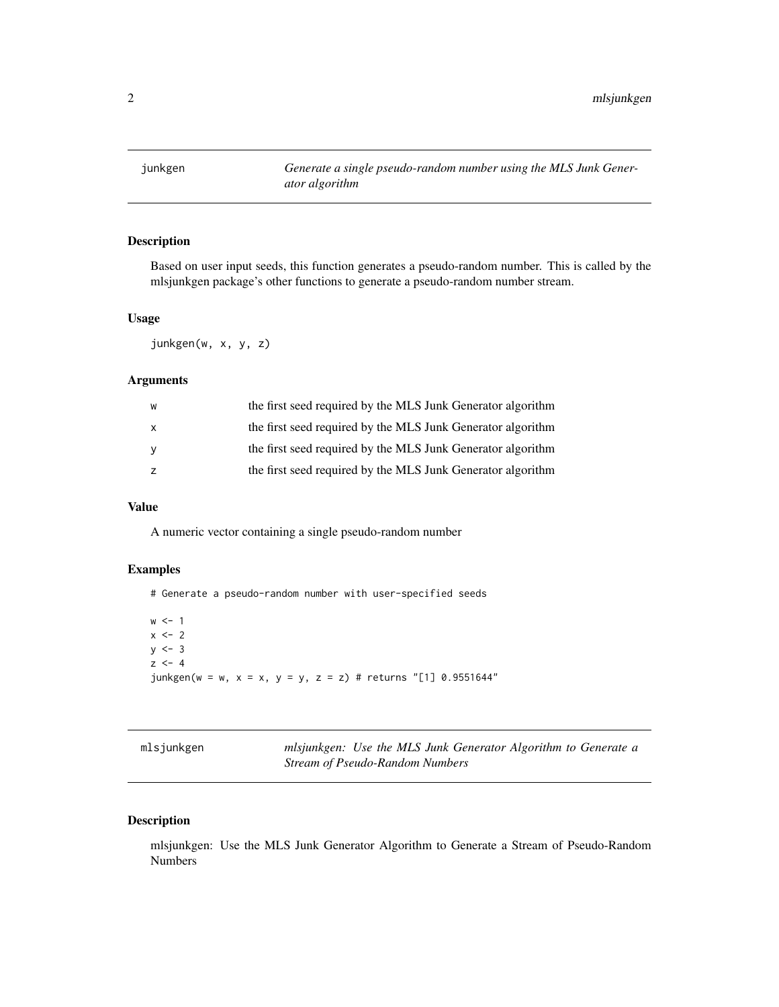<span id="page-1-1"></span><span id="page-1-0"></span>

#### Description

Based on user input seeds, this function generates a pseudo-random number. This is called by the mlsjunkgen package's other functions to generate a pseudo-random number stream.

#### Usage

junkgen(w, x, y, z)

#### Arguments

| W | the first seed required by the MLS Junk Generator algorithm |
|---|-------------------------------------------------------------|
|   | the first seed required by the MLS Junk Generator algorithm |
|   | the first seed required by the MLS Junk Generator algorithm |
|   | the first seed required by the MLS Junk Generator algorithm |

#### Value

A numeric vector containing a single pseudo-random number

#### Examples

# Generate a pseudo-random number with user-specified seeds  $w < -1$  $x \le -2$  $y \le -3$  $z \le -4$ junkgen(w = w, x = x, y = y, z = z) # returns "[1] 0.9551644"

| mlsjunkgen |                                 |  |  | mlsjunkgen: Use the MLS Junk Generator Algorithm to Generate a |  |
|------------|---------------------------------|--|--|----------------------------------------------------------------|--|
|            | Stream of Pseudo-Random Numbers |  |  |                                                                |  |

#### Description

mlsjunkgen: Use the MLS Junk Generator Algorithm to Generate a Stream of Pseudo-Random Numbers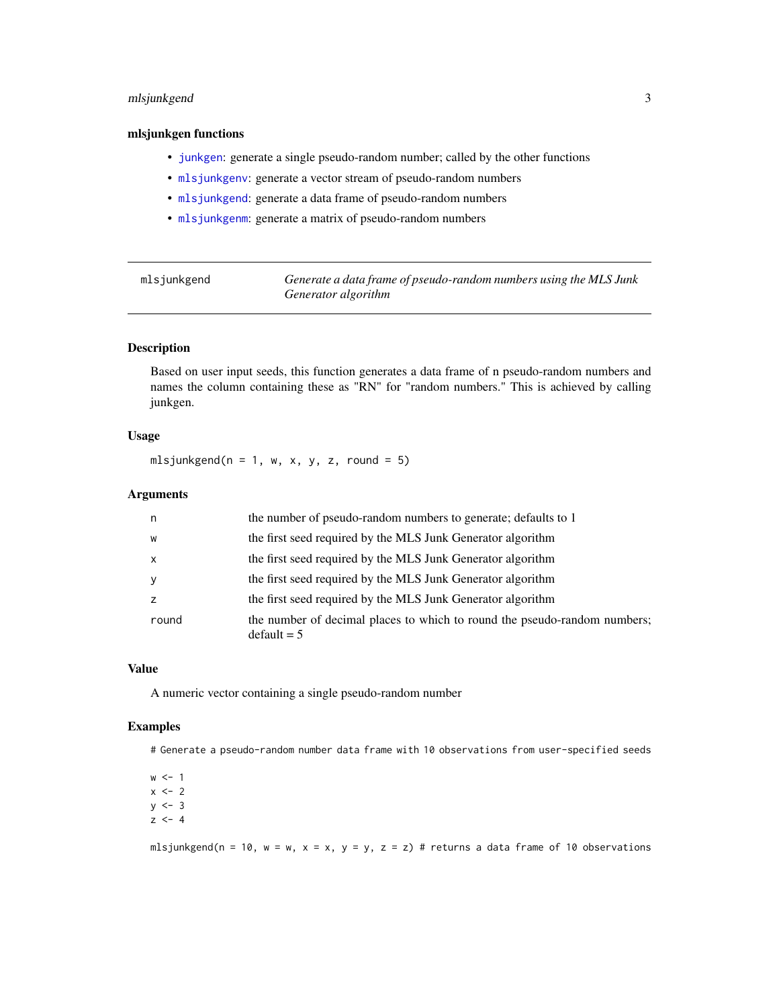#### <span id="page-2-0"></span>mlsjunkgend 3

#### mlsjunkgen functions

- [junkgen](#page-1-1): generate a single pseudo-random number; called by the other functions
- [mlsjunkgenv](#page-4-1): generate a vector stream of pseudo-random numbers
- [mlsjunkgend](#page-2-1): generate a data frame of pseudo-random numbers
- [mlsjunkgenm](#page-3-1): generate a matrix of pseudo-random numbers

<span id="page-2-1"></span>

| mlsjunkgend | Generate a data frame of pseudo-random numbers using the MLS Junk |
|-------------|-------------------------------------------------------------------|
|             | Generator algorithm                                               |

#### Description

Based on user input seeds, this function generates a data frame of n pseudo-random numbers and names the column containing these as "RN" for "random numbers." This is achieved by calling junkgen.

#### Usage

mlsjunkgend( $n = 1$ , w, x, y, z, round = 5)

#### Arguments

| n            | the number of pseudo-random numbers to generate; defaults to 1                             |
|--------------|--------------------------------------------------------------------------------------------|
| W            | the first seed required by the MLS Junk Generator algorithm                                |
| $\mathsf{x}$ | the first seed required by the MLS Junk Generator algorithm                                |
| y            | the first seed required by the MLS Junk Generator algorithm                                |
| z            | the first seed required by the MLS Junk Generator algorithm                                |
| round        | the number of decimal places to which to round the pseudo-random numbers;<br>$default = 5$ |

#### Value

A numeric vector containing a single pseudo-random number

#### Examples

# Generate a pseudo-random number data frame with 10 observations from user-specified seeds

 $w < -1$  $x \le -2$  $y \le -3$  $z \le -4$ 

mlsjunkgend(n = 10, w = w, x = x, y = y, z = z) # returns a data frame of 10 observations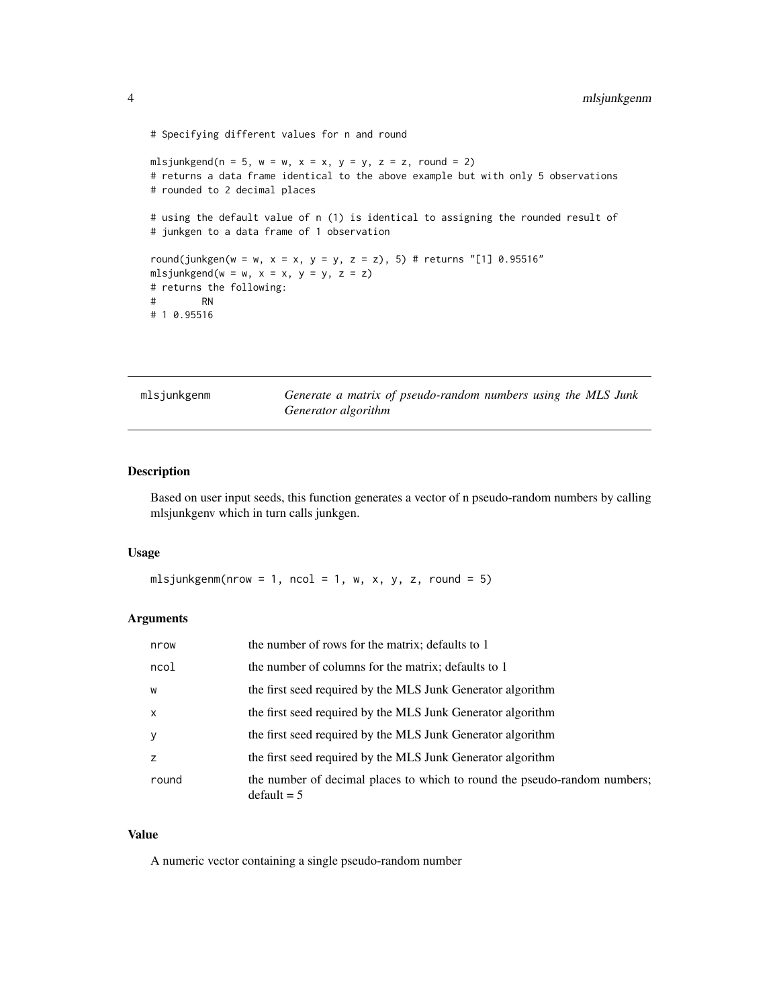```
# Specifying different values for n and round
mlsjunkgend(n = 5, w = w, x = x, y = y, z = z, round = 2)
# returns a data frame identical to the above example but with only 5 observations
# rounded to 2 decimal places
# using the default value of n (1) is identical to assigning the rounded result of
# junkgen to a data frame of 1 observation
round(junkgen(w = w, x = x, y = y, z = z), 5) # returns "[1] 0.95516"
mlsjunkgend(w = w, x = x, y = y, z = z)
# returns the following:
# RN
# 1 0.95516
```
<span id="page-3-1"></span>mlsjunkgenm *Generate a matrix of pseudo-random numbers using the MLS Junk Generator algorithm*

#### Description

Based on user input seeds, this function generates a vector of n pseudo-random numbers by calling mlsjunkgenv which in turn calls junkgen.

#### Usage

mlsjunkgenm(nrow = 1, ncol = 1, w, x, y, z, round = 5)

#### Arguments

| nrow         | the number of rows for the matrix; defaults to 1                                           |
|--------------|--------------------------------------------------------------------------------------------|
| ncol         | the number of columns for the matrix; defaults to 1                                        |
| W            | the first seed required by the MLS Junk Generator algorithm                                |
| $\mathsf{x}$ | the first seed required by the MLS Junk Generator algorithm                                |
| <b>V</b>     | the first seed required by the MLS Junk Generator algorithm                                |
| z            | the first seed required by the MLS Junk Generator algorithm                                |
| round        | the number of decimal places to which to round the pseudo-random numbers;<br>$default = 5$ |

#### Value

A numeric vector containing a single pseudo-random number

<span id="page-3-0"></span>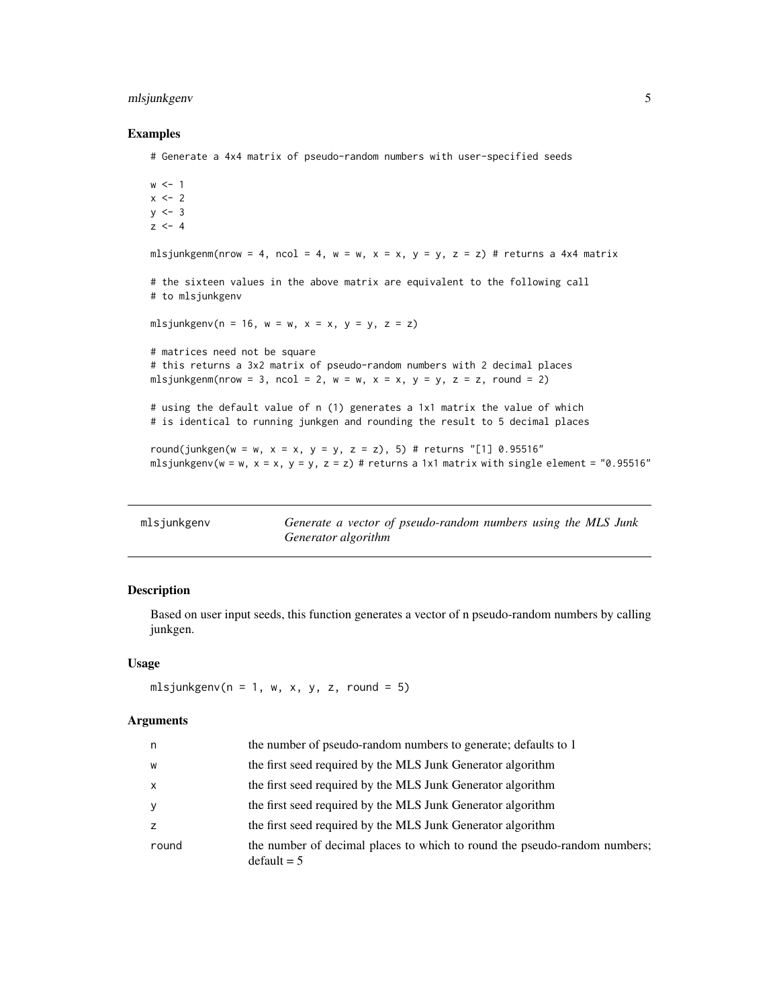#### <span id="page-4-0"></span>mlsjunkgenv 5

#### Examples

# Generate a 4x4 matrix of pseudo-random numbers with user-specified seeds

```
w < -1x \le -2y \le -3z \le -4mlsjunkgenm(nrow = 4, ncol = 4, w = w, x = x, y = y, z = z) # returns a 4x4 matrix
# the sixteen values in the above matrix are equivalent to the following call
# to mlsjunkgenv
mlsjunkgenv(n = 16, w = w, x = x, y = y, z = z)
# matrices need not be square
# this returns a 3x2 matrix of pseudo-random numbers with 2 decimal places
mlsjunkgenm(nrow = 3, ncol = 2, w = w, x = x, y = y, z = z, round = 2)
# using the default value of n (1) generates a 1x1 matrix the value of which
# is identical to running junkgen and rounding the result to 5 decimal places
round(junkgen(w = w, x = x, y = y, z = z), 5) # returns "[1] 0.95516"
mlsjunkgenv(w = w, x = x, y = y, z = z) # returns a 1x1 matrix with single element = "0.95516"
```
<span id="page-4-1"></span>

| mlsjunkgenv | Generate a vector of pseudo-random numbers using the MLS Junk |
|-------------|---------------------------------------------------------------|
|             | Generator algorithm                                           |

#### Description

Based on user input seeds, this function generates a vector of n pseudo-random numbers by calling junkgen.

#### Usage

mlsjunkgenv( $n = 1$ , w, x, y, z, round = 5)

#### Arguments

| n              | the number of pseudo-random numbers to generate; defaults to 1                             |
|----------------|--------------------------------------------------------------------------------------------|
| W              | the first seed required by the MLS Junk Generator algorithm                                |
| $\mathsf{x}$   | the first seed required by the MLS Junk Generator algorithm                                |
| <sub>V</sub>   | the first seed required by the MLS Junk Generator algorithm                                |
| $\overline{z}$ | the first seed required by the MLS Junk Generator algorithm                                |
| round          | the number of decimal places to which to round the pseudo-random numbers;<br>$default = 5$ |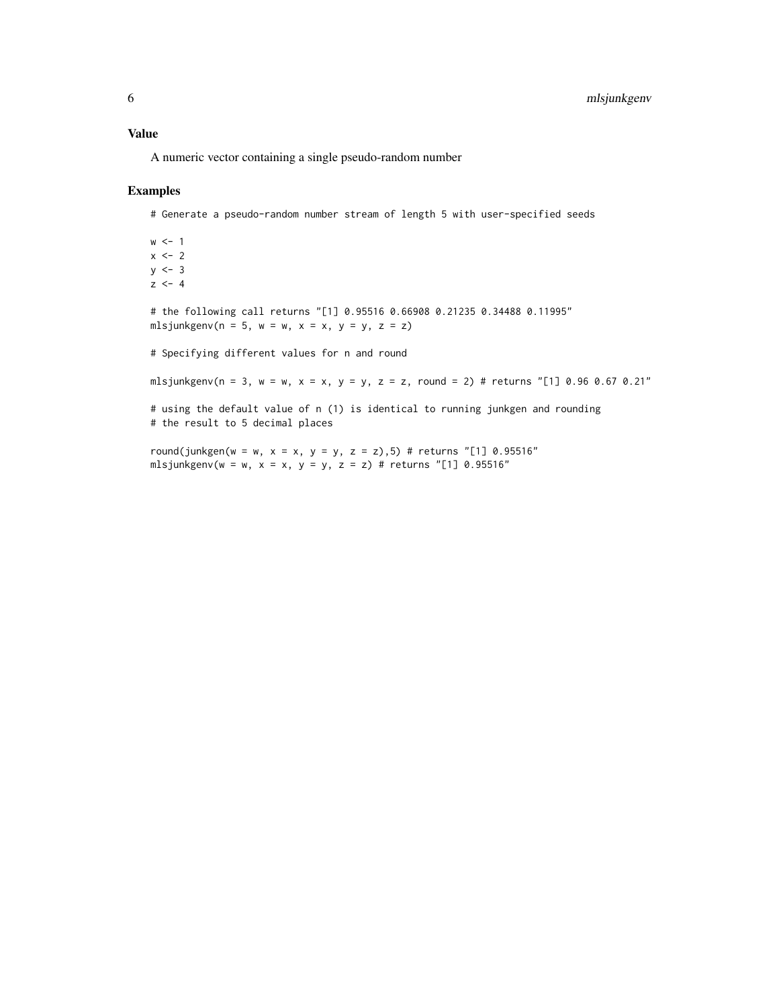#### Value

A numeric vector containing a single pseudo-random number

#### Examples

# Generate a pseudo-random number stream of length 5 with user-specified seeds

 $w < -1$  $x \le -2$  $y \le -3$  $z \le -4$ 

# the following call returns "[1] 0.95516 0.66908 0.21235 0.34488 0.11995" mlsjunkgenv(n = 5, w = w, x = x, y = y, z = z)

# Specifying different values for n and round

mlsjunkgenv(n = 3, w = w, x = x, y = y, z = z, round = 2) # returns "[1] 0.96 0.67 0.21"

# using the default value of n (1) is identical to running junkgen and rounding # the result to 5 decimal places

round(junkgen(w = w, x = x, y = y, z = z),5) # returns "[1] 0.95516" mlsjunkgenv(w = w, x = x, y = y, z = z) # returns "[1] 0.95516"